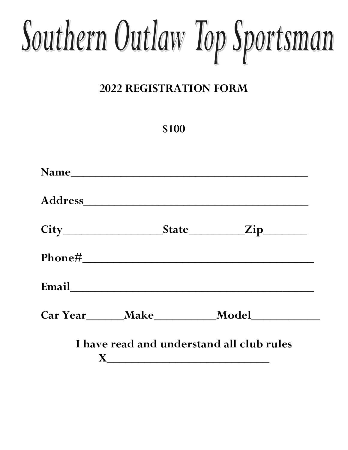## Southern Outlaw Top Sportsman

## **2022 REGISTRATION FORM**

## **\$100**

| Car Year Make Model                       |  |  |  |  |
|-------------------------------------------|--|--|--|--|
| I have read and understand all club rules |  |  |  |  |
|                                           |  |  |  |  |